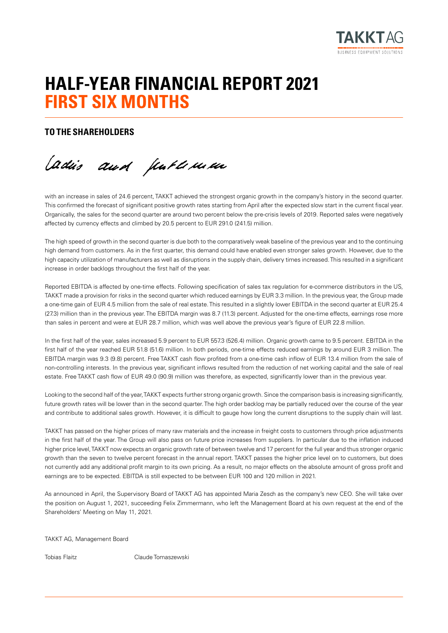

# **HALF-YEAR FINANCIAL REPORT 2021 FIRST SIX MONTHS**

# **TO THE SHAREHOLDERS**

Cadis and publiculus

with an increase in sales of 24.6 percent, TAKKT achieved the strongest organic growth in the company's history in the second quarter. This confirmed the forecast of significant positive growth rates starting from April after the expected slow start in the current fiscal year. Organically, the sales for the second quarter are around two percent below the pre-crisis levels of 2019. Reported sales were negatively affected by currency effects and climbed by 20.5 percent to EUR 291.0 (241.5) million.

The high speed of growth in the second quarter is due both to the comparatively weak baseline of the previous year and to the continuing high demand from customers. As in the first quarter, this demand could have enabled even stronger sales growth. However, due to the high capacity utilization of manufacturers as well as disruptions in the supply chain, delivery times increased. This resulted in a significant increase in order backlogs throughout the first half of the year.

Reported EBITDA is affected by one-time effects. Following specification of sales tax regulation for e-commerce distributors in the US, TAKKT made a provision for risks in the second quarter which reduced earnings by EUR 3.3 million. In the previous year, the Group made a one-time gain of EUR 4.5 million from the sale of real estate. This resulted in a slightly lower EBITDA in the second quarter at EUR 25.4 (27.3) million than in the previous year. The EBITDA margin was 8.7 (11.3) percent. Adjusted for the one-time effects, earnings rose more than sales in percent and were at EUR 28.7 million, which was well above the previous year's figure of EUR 22.8 million.

In the first half of the year, sales increased 5.9 percent to EUR 557.3 (526.4) million. Organic growth came to 9.5 percent. EBITDA in the first half of the year reached EUR 51.8 (51.6) million. In both periods, one-time effects reduced earnings by around EUR 3 million. The EBITDA margin was 9.3 (9.8) percent. Free TAKKT cash flow profited from a one-time cash inflow of EUR 13.4 million from the sale of non-controlling interests. In the previous year, significant inflows resulted from the reduction of net working capital and the sale of real estate. Free TAKKT cash flow of EUR 49.0 (90.9) million was therefore, as expected, significantly lower than in the previous year.

Looking to the second half of the year, TAKKT expects further strong organic growth. Since the comparison basis is increasing significantly, future growth rates will be lower than in the second quarter. The high order backlog may be partially reduced over the course of the year and contribute to additional sales growth. However, it is difficult to gauge how long the current disruptions to the supply chain will last.

TAKKT has passed on the higher prices of many raw materials and the increase in freight costs to customers through price adjustments in the first half of the year. The Group will also pass on future price increases from suppliers. In particular due to the inflation induced higher price level, TAKKT now expects an organic growth rate of between twelve and 17 percent for the full year and thus stronger organic growth than the seven to twelve percent forecast in the annual report. TAKKT passes the higher price level on to customers, but does not currently add any additional profit margin to its own pricing. As a result, no major effects on the absolute amount of gross profit and earnings are to be expected. EBITDA is still expected to be between EUR 100 and 120 million in 2021.

As announced in April, the Supervisory Board of TAKKT AG has appointed Maria Zesch as the company's new CEO. She will take over the position on August 1, 2021, succeeding Felix Zimmermann, who left the Management Board at his own request at the end of the Shareholders' Meeting on May 11, 2021.

TAKKT AG, Management Board

Tobias Flaitz Claude Tomaszewski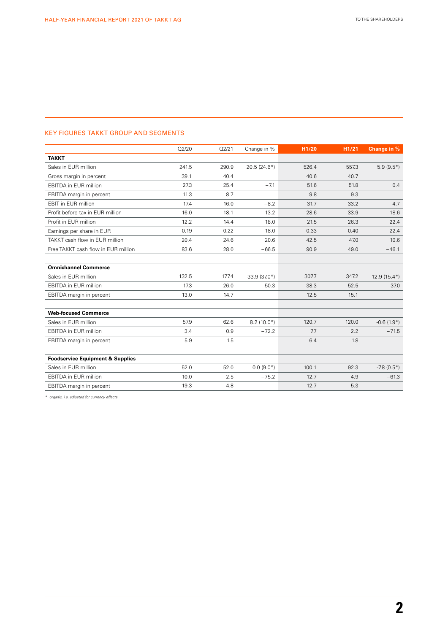### KEY FIGURES TAKKT GROUP AND SEGMENTS

|                                             | Q2/20 | Q2/21 | Change in %   | H1/20 | H1/21 | Change in %     |
|---------------------------------------------|-------|-------|---------------|-------|-------|-----------------|
| <b>TAKKT</b>                                |       |       |               |       |       |                 |
| Sales in EUR million                        | 241.5 | 290.9 | $20.5(24.6*)$ | 526.4 | 557.3 | $5.9(9.5*)$     |
| Gross margin in percent                     | 39.1  | 40.4  |               | 40.6  | 40.7  |                 |
| <b>EBITDA</b> in EUR million                | 27.3  | 25.4  | $-7.1$        | 51.6  | 51.8  | 0.4             |
| EBITDA margin in percent                    | 11.3  | 8.7   |               | 9.8   | 9.3   |                 |
| EBIT in EUR million                         | 17.4  | 16.0  | $-8.2$        | 31.7  | 33.2  | 4.7             |
| Profit before tax in EUR million            | 16.0  | 18.1  | 13.2          | 28.6  | 33.9  | 18.6            |
| Profit in EUR million                       | 12.2  | 14.4  | 18.0          | 21.5  | 26.3  | 22.4            |
| Earnings per share in EUR                   | 0.19  | 0.22  | 18.0          | 0.33  | 0.40  | 22.4            |
| TAKKT cash flow in EUR million              | 20.4  | 24.6  | 20.6          | 42.5  | 47.0  | 10.6            |
| Free TAKKT cash flow in EUR million         | 83.6  | 28.0  | $-66.5$       | 90.9  | 49.0  | $-46.1$         |
|                                             |       |       |               |       |       |                 |
| <b>Omnichannel Commerce</b>                 |       |       |               |       |       |                 |
| Sales in EUR million                        | 132.5 | 177.4 | 33.9 (37.0*)  | 307.7 | 347.2 | $12.9(15.4*)$   |
| <b>EBITDA</b> in EUR million                | 17.3  | 26.0  | 50.3          | 38.3  | 52.5  | 37.0            |
| EBITDA margin in percent                    | 13.0  | 14.7  |               | 12.5  | 15.1  |                 |
|                                             |       |       |               |       |       |                 |
| <b>Web-focused Commerce</b>                 |       |       |               |       |       |                 |
| Sales in EUR million                        | 57.9  | 62.6  | $8.2(10.0*)$  | 120.7 | 120.0 | $-0.6(1.9*)$    |
| <b>EBITDA</b> in EUR million                | 3.4   | 0.9   | $-72.2$       | 7.7   | 2.2   | $-71.5$         |
| EBITDA margin in percent                    | 5.9   | 1.5   |               | 6.4   | 1.8   |                 |
|                                             |       |       |               |       |       |                 |
| <b>Foodservice Equipment &amp; Supplies</b> |       |       |               |       |       |                 |
| Sales in EUR million                        | 52.0  | 52.0  | $0.0(9.0*)$   | 100.1 | 92.3  | $-7.8(0.5^{*})$ |
| <b>EBITDA</b> in EUR million                | 10.0  | 2.5   | $-75.2$       | 12.7  | 4.9   | $-61.3$         |
| EBITDA margin in percent                    | 19.3  | 4.8   |               | 12.7  | 5.3   |                 |

*\* organic, i.e. adjusted for currency effects*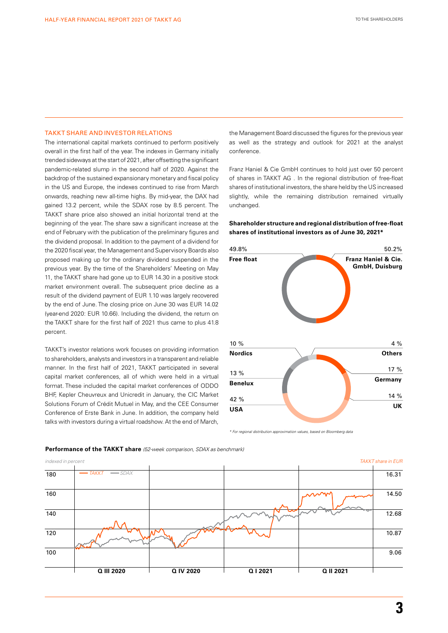#### TAKKT SHARE AND INVESTOR RELATIONS

The international capital markets continued to perform positively overall in the first half of the year. The indexes in Germany initially trended sideways at the start of 2021, after offsetting the significant pandemic-related slump in the second half of 2020. Against the backdrop of the sustained expansionary monetary and fiscal policy in the US and Europe, the indexes continued to rise from March onwards, reaching new all-time highs. By mid-year, the DAX had gained 13.2 percent, while the SDAX rose by 8.5 percent. The TAKKT share price also showed an initial horizontal trend at the beginning of the year. The share saw a significant increase at the end of February with the publication of the preliminary figures and the dividend proposal. In addition to the payment of a dividend for the 2020 fiscal year, the Management and Supervisory Boards also proposed making up for the ordinary dividend suspended in the previous year. By the time of the Shareholders' Meeting on May 11, the TAKKT share had gone up to EUR 14.30 in a positive stock market environment overall. The subsequent price decline as a result of the dividend payment of EUR 1.10 was largely recovered by the end of June. The closing price on June 30 was EUR 14.02 (year-end 2020: EUR 10.66). Including the dividend, the return on the TAKKT share for the first half of 2021 thus came to plus 41.8 percent.

TAKKT's investor relations work focuses on providing information to shareholders, analysts and investors in a transparent and reliable manner. In the first half of 2021, TAKKT participated in several capital market conferences, all of which were held in a virtual format. These included the capital market conferences of ODDO BHF, Kepler Cheuvreux and Unicredit in January, the CIC Market Solutions Forum of Crédit Mutuel in May, and the CEE Consumer Conference of Erste Bank in June. In addition, the company held talks with investors during a virtual roadshow. At the end of March,

the Management Board discussed the figures for the previous year as well as the strategy and outlook for 2021 at the analyst conference.

Franz Haniel & Cie GmbH continues to hold just over 50 percent of shares in TAKKT AG . In the regional distribution of free-float shares of institutional investors, the share held by the US increased slightly, while the remaining distribution remained virtually unchanged.

### **Shareholder structure and regional distribution of free-float shares of institutional investors as of June 30, 2021\***



*\* For regional distribution approximation values, based on Bloomberg data*



#### **Performance of the TAKKT share** *(52-week comparison, SDAX as benchmark)*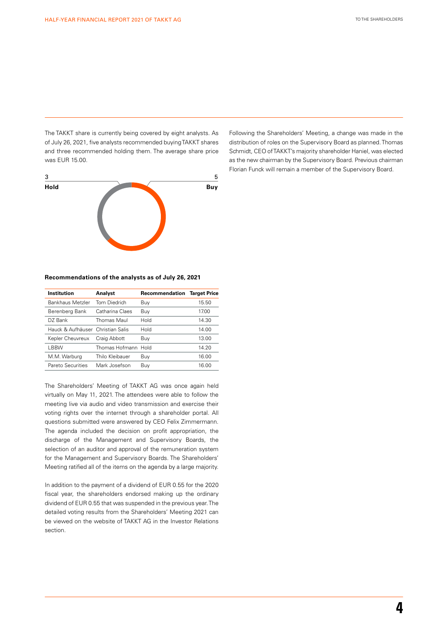The TAKKT share is currently being covered by eight analysts. As of July 26, 2021, five analysts recommended buying TAKKT shares and three recommended holding them. The average share price was EUR 15.00.



#### **Recommendations of the analysts as of July 26, 2021**

| Institution                        | Analyst             | <b>Recommendation Target Price</b> |       |
|------------------------------------|---------------------|------------------------------------|-------|
| Bankhaus Metzler                   | Tom Diedrich        | Buy                                | 15.50 |
| Berenberg Bank                     | Catharina Claes     | Buy                                | 17.00 |
| DZ Bank                            | Thomas Maul         | Hold                               | 14.30 |
| Hauck & Aufhäuser, Christian Salis |                     | Hold                               | 14.00 |
| Kepler Cheuvreux                   | Craig Abbott        | Buy                                | 13.00 |
| LBBW                               | Thomas Hofmann Hold |                                    | 14.20 |
| M.M. Warburg                       | Thilo Kleibauer     | Buy                                | 16.00 |
| Pareto Securities                  | Mark Josefson       | Buy                                | 16.00 |
|                                    |                     |                                    |       |

The Shareholders' Meeting of TAKKT AG was once again held virtually on May 11, 2021. The attendees were able to follow the meeting live via audio and video transmission and exercise their voting rights over the internet through a shareholder portal. All questions submitted were answered by CEO Felix Zimmermann. The agenda included the decision on profit appropriation, the discharge of the Management and Supervisory Boards, the selection of an auditor and approval of the remuneration system for the Management and Supervisory Boards. The Shareholders' Meeting ratified all of the items on the agenda by a large majority.

In addition to the payment of a dividend of EUR 0.55 for the 2020 fiscal year, the shareholders endorsed making up the ordinary dividend of EUR 0.55 that was suspended in the previous year. The detailed voting results from the Shareholders' Meeting 2021 can be viewed on the website of TAKKT AG in the Investor Relations section.

Following the Shareholders' Meeting, a change was made in the distribution of roles on the Supervisory Board as planned. Thomas Schmidt, CEO of TAKKT's majority shareholder Haniel, was elected as the new chairman by the Supervisory Board. Previous chairman Florian Funck will remain a member of the Supervisory Board.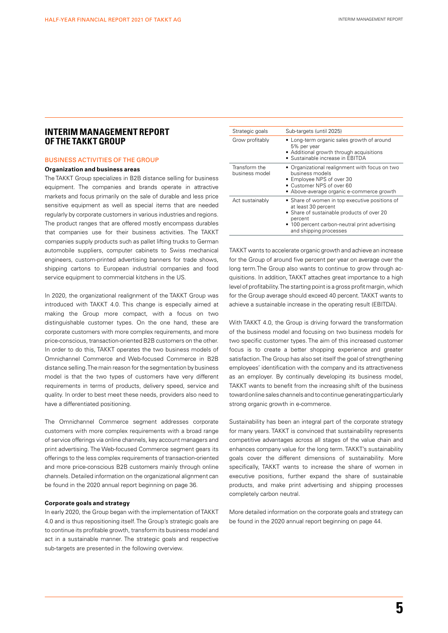# **INTERIM MANAGEMENT REPORT OF THE TAKKT GROUP**

#### BUSINESS ACTIVITIES OF THE GROUP

#### **Organization and business areas**

The TAKKT Group specializes in B2B distance selling for business equipment. The companies and brands operate in attractive markets and focus primarily on the sale of durable and less price sensitive equipment as well as special items that are needed regularly by corporate customers in various industries and regions. The product ranges that are offered mostly encompass durables that companies use for their business activities. The TAKKT companies supply products such as pallet lifting trucks to German automobile suppliers, computer cabinets to Swiss mechanical engineers, custom-printed advertising banners for trade shows, shipping cartons to European industrial companies and food service equipment to commercial kitchens in the US.

In 2020, the organizational realignment of the TAKKT Group was introduced with TAKKT 4.0. This change is especially aimed at making the Group more compact, with a focus on two distinguishable customer types. On the one hand, these are corporate customers with more complex requirements, and more price-conscious, transaction-oriented B2B customers on the other. In order to do this, TAKKT operates the two business models of Omnichannel Commerce and Web-focused Commerce in B2B distance selling. The main reason for the segmentation by business model is that the two types of customers have very different requirements in terms of products, delivery speed, service and quality. In order to best meet these needs, providers also need to have a differentiated positioning.

The Omnichannel Commerce segment addresses corporate customers with more complex requirements with a broad range of service offerings via online channels, key account managers and print advertising. The Web-focused Commerce segment gears its offerings to the less complex requirements of transaction-oriented and more price-conscious B2B customers mainly through online channels. Detailed information on the organizational alignment can be found in the 2020 annual report beginning on page 36.

#### **Corporate goals and strategy**

In early 2020, the Group began with the implementation of TAKKT 4.0 and is thus repositioning itself. The Group's strategic goals are to continue its profitable growth, transform its business model and act in a sustainable manner. The strategic goals and respective sub-targets are presented in the following overview.

| Strategic goals                 | Sub-targets (until 2025)                                                                                                                                                                                   |
|---------------------------------|------------------------------------------------------------------------------------------------------------------------------------------------------------------------------------------------------------|
| Grow profitably                 | • Long-term organic sales growth of around<br>5% per year<br>• Additional growth through acquisitions<br>• Sustainable increase in EBITDA                                                                  |
| Transform the<br>business model | • Organizational realignment with focus on two<br>business models<br>• Employee NPS of over 30<br>• Customer NPS of over 60<br>• Above-average organic e-commerce growth                                   |
| Act sustainably                 | • Share of women in top executive positions of<br>at least 30 percent<br>• Share of sustainable products of over 20<br>percent<br>• 100 percent carbon-neutral print advertising<br>and shipping processes |

TAKKT wants to accelerate organic growth and achieve an increase for the Group of around five percent per year on average over the long term.The Group also wants to continue to grow through acquisitions. In addition, TAKKT attaches great importance to a high level of profitability. The starting point is a gross profit margin, which for the Group average should exceed 40 percent. TAKKT wants to achieve a sustainable increase in the operating result (EBITDA).

With TAKKT 4.0, the Group is driving forward the transformation of the business model and focusing on two business models for two specific customer types. The aim of this increased customer focus is to create a better shopping experience and greater satisfaction. The Group has also set itself the goal of strengthening employees' identification with the company and its attractiveness as an employer. By continually developing its business model, TAKKT wants to benefit from the increasing shift of the business toward online sales channels and to continue generating particularly strong organic growth in e-commerce.

Sustainability has been an integral part of the corporate strategy for many years. TAKKT is convinced that sustainability represents competitive advantages across all stages of the value chain and enhances company value for the long term. TAKKT's sustainability goals cover the different dimensions of sustainability. More specifically, TAKKT wants to increase the share of women in executive positions, further expand the share of sustainable products, and make print advertising and shipping processes completely carbon neutral.

More detailed information on the corporate goals and strategy can be found in the 2020 annual report beginning on page 44.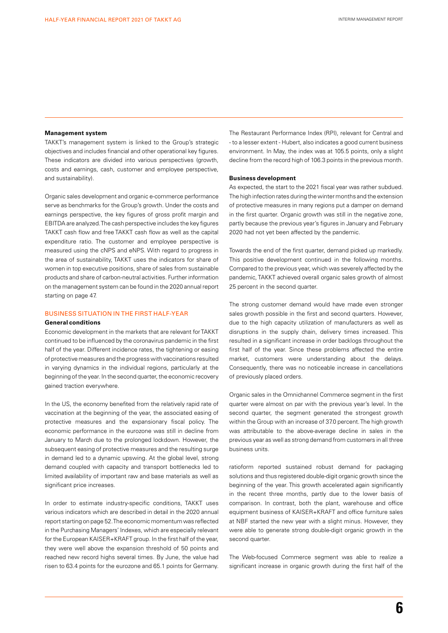#### **Management system**

TAKKT's management system is linked to the Group's strategic objectives and includes financial and other operational key figures. These indicators are divided into various perspectives (growth, costs and earnings, cash, customer and employee perspective, and sustainability).

Organic sales development and organic e-commerce performance serve as benchmarks for the Group's growth. Under the costs and earnings perspective, the key figures of gross profit margin and EBITDA are analyzed. The cash perspective includes the key figures TAKKT cash flow and free TAKKT cash flow as well as the capital expenditure ratio. The customer and employee perspective is measured using the cNPS and eNPS. With regard to progress in the area of sustainability, TAKKT uses the indicators for share of women in top executive positions, share of sales from sustainable products and share of carbon-neutral activities. Further information on the management system can be found in the 2020 annual report starting on page 47.

#### BUSINESS SITUATION IN THE FIRST HALF-YEAR

#### **General conditions**

Economic development in the markets that are relevant for TAKKT continued to be influenced by the coronavirus pandemic in the first half of the year. Different incidence rates, the tightening or easing of protective measures and the progress with vaccinations resulted in varying dynamics in the individual regions, particularly at the beginning of the year. In the second quarter, the economic recovery gained traction everywhere.

In the US, the economy benefited from the relatively rapid rate of vaccination at the beginning of the year, the associated easing of protective measures and the expansionary fiscal policy. The economic performance in the eurozone was still in decline from January to March due to the prolonged lockdown. However, the subsequent easing of protective measures and the resulting surge in demand led to a dynamic upswing. At the global level, strong demand coupled with capacity and transport bottlenecks led to limited availability of important raw and base materials as well as significant price increases.

In order to estimate industry-specific conditions, TAKKT uses various indicators which are described in detail in the 2020 annual report starting on page 52. The economic momentum was reflected in the Purchasing Managers' Indexes, which are especially relevant for the European KAISER+KRAFT group. In the first half of the year, they were well above the expansion threshold of 50 points and reached new record highs several times. By June, the value had risen to 63.4 points for the eurozone and 65.1 points for Germany.

The Restaurant Performance Index (RPI), relevant for Central and - to a lesser extent - Hubert, also indicates a good current business environment. In May, the index was at 105.5 points, only a slight decline from the record high of 106.3 points in the previous month.

#### **Business development**

As expected, the start to the 2021 fiscal year was rather subdued. The high infection rates during the winter months and the extension of protective measures in many regions put a damper on demand in the first quarter. Organic growth was still in the negative zone, partly because the previous year's figures in January and February 2020 had not yet been affected by the pandemic.

Towards the end of the first quarter, demand picked up markedly. This positive development continued in the following months. Compared to the previous year, which was severely affected by the pandemic, TAKKT achieved overall organic sales growth of almost 25 percent in the second quarter.

The strong customer demand would have made even stronger sales growth possible in the first and second quarters. However, due to the high capacity utilization of manufacturers as well as disruptions in the supply chain, delivery times increased. This resulted in a significant increase in order backlogs throughout the first half of the year. Since these problems affected the entire market, customers were understanding about the delays. Consequently, there was no noticeable increase in cancellations of previously placed orders.

Organic sales in the Omnichannel Commerce segment in the first quarter were almost on par with the previous year's level. In the second quarter, the segment generated the strongest growth within the Group with an increase of 37.0 percent. The high growth was attributable to the above-average decline in sales in the previous year as well as strong demand from customers in all three business units.

ratioform reported sustained robust demand for packaging solutions and thus registered double-digit organic growth since the beginning of the year. This growth accelerated again significantly in the recent three months, partly due to the lower basis of comparison. In contrast, both the plant, warehouse and office equipment business of KAISER+KRAFT and office furniture sales at NBF started the new year with a slight minus. However, they were able to generate strong double-digit organic growth in the second quarter.

The Web-focused Commerce segment was able to realize a significant increase in organic growth during the first half of the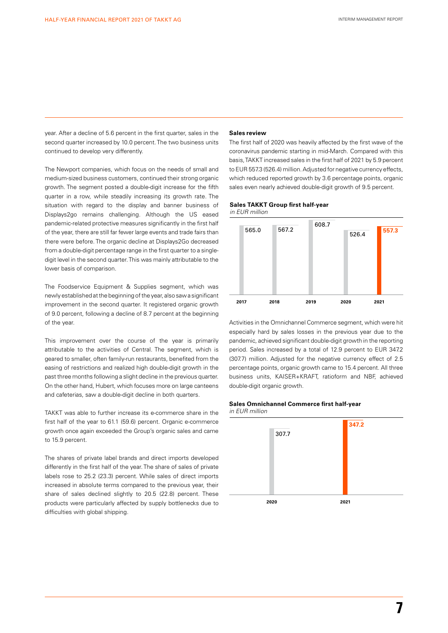year. After a decline of 5.6 percent in the first quarter, sales in the second quarter increased by 10.0 percent. The two business units continued to develop very differently.

The Newport companies, which focus on the needs of small and medium-sized business customers, continued their strong organic growth. The segment posted a double-digit increase for the fifth quarter in a row, while steadily increasing its growth rate. The situation with regard to the display and banner business of Displays2go remains challenging. Although the US eased pandemic-related protective measures significantly in the first half of the year, there are still far fewer large events and trade fairs than there were before. The organic decline at Displays2Go decreased from a double-digit percentage range in the first quarter to a singledigit level in the second quarter. This was mainly attributable to the lower basis of comparison.

The Foodservice Equipment & Supplies segment, which was newly established at the beginning of the year, also saw a significant improvement in the second quarter. It registered organic growth of 9.0 percent, following a decline of 8.7 percent at the beginning of the year.

This improvement over the course of the year is primarily attributable to the activities of Central. The segment, which is geared to smaller, often family-run restaurants, benefited from the easing of restrictions and realized high double-digit growth in the past three months following a slight decline in the previous quarter. On the other hand, Hubert, which focuses more on large canteens and cafeterias, saw a double-digit decline in both quarters.

TAKKT was able to further increase its e-commerce share in the first half of the year to 61.1 (59.6) percent. Organic e-commerce growth once again exceeded the Group's organic sales and came to 15.9 percent.

The shares of private label brands and direct imports developed differently in the first half of the year. The share of sales of private labels rose to 25.2 (23.3) percent. While sales of direct imports increased in absolute terms compared to the previous year, their share of sales declined slightly to 20.5 (22.8) percent. These products were particularly affected by supply bottlenecks due to difficulties with global shipping.

#### **Sales review**

The first half of 2020 was heavily affected by the first wave of the coronavirus pandemic starting in mid-March. Compared with this basis, TAKKT increased sales in the first half of 2021 by 5.9 percent to EUR 557.3 (526.4) million. Adjusted for negative currency effects, which reduced reported growth by 3.6 percentage points, organic sales even nearly achieved double-digit growth of 9.5 percent.

#### **Sales TAKKT Group first half-year** *in EUR million*



Activities in the Omnichannel Commerce segment, which were hit especially hard by sales losses in the previous year due to the pandemic, achieved significant double-digit growth in the reporting period. Sales increased by a total of 12.9 percent to EUR 347.2 (307.7) million. Adjusted for the negative currency effect of 2.5 percentage points, organic growth came to 15.4 percent. All three business units, KAISER+KRAFT, ratioform and NBF, achieved double-digit organic growth.

#### **Sales Omnichannel Commerce first half-year**

*in EUR million* 



**7**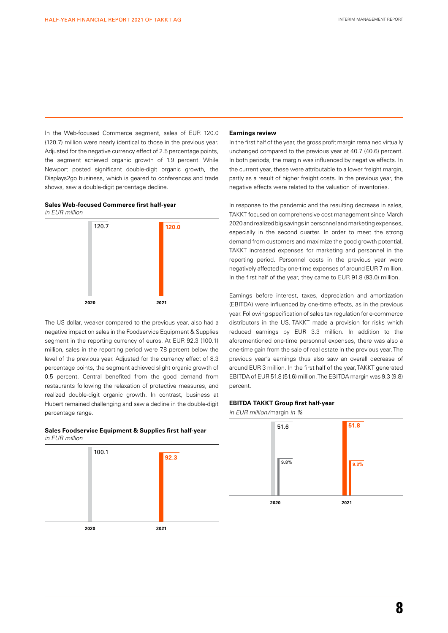In the Web-focused Commerce segment, sales of EUR 120.0 (120.7) million were nearly identical to those in the previous year. Adjusted for the negative currency effect of 2.5 percentage points, the segment achieved organic growth of 1.9 percent. While Newport posted significant double-digit organic growth, the Displays2go business, which is geared to conferences and trade shows, saw a double-digit percentage decline.

#### **Sales Web-focused Commerce first half-year** *in EUR million*



The US dollar, weaker compared to the previous year, also had a negative impact on sales in the Foodservice Equipment & Supplies segment in the reporting currency of euros. At EUR 92.3 (100.1) million, sales in the reporting period were 7.8 percent below the level of the previous year. Adjusted for the currency effect of 8.3 percentage points, the segment achieved slight organic growth of 0.5 percent. Central benefited from the good demand from restaurants following the relaxation of protective measures, and realized double-digit organic growth. In contrast, business at Hubert remained challenging and saw a decline in the double-digit percentage range.

# **Sales Foodservice Equipment & Supplies first half-year**  *in EUR million*



#### **Earnings review**

In the first half of the year, the gross profit margin remained virtually unchanged compared to the previous year at 40.7 (40.6) percent. In both periods, the margin was influenced by negative effects. In the current year, these were attributable to a lower freight margin, partly as a result of higher freight costs. In the previous year, the negative effects were related to the valuation of inventories.

In response to the pandemic and the resulting decrease in sales, TAKKT focused on comprehensive cost management since March 2020 and realized big savings in personnel and marketing expenses, especially in the second quarter. In order to meet the strong demand from customers and maximize the good growth potential, TAKKT increased expenses for marketing and personnel in the reporting period. Personnel costs in the previous year were negatively affected by one-time expenses of around EUR 7 million. In the first half of the year, they came to EUR 91.8 (93.0) million.

Earnings before interest, taxes, depreciation and amortization (EBITDA) were influenced by one-time effects, as in the previous year. Following specification of sales tax regulation for e-commerce distributors in the US, TAKKT made a provision for risks which reduced earnings by EUR 3.3 million. In addition to the aforementioned one-time personnel expenses, there was also a one-time gain from the sale of real estate in the previous year. The previous year's earnings thus also saw an overall decrease of around EUR 3 million. In the first half of the year TAKKT generated EBITDA of EUR 51.8 (51.6) million. The EBITDA margin was 9.3 (9.8) percent.

### **EBITDA TAKKT Group first half-year**

*in EUR million/*margin *in %*

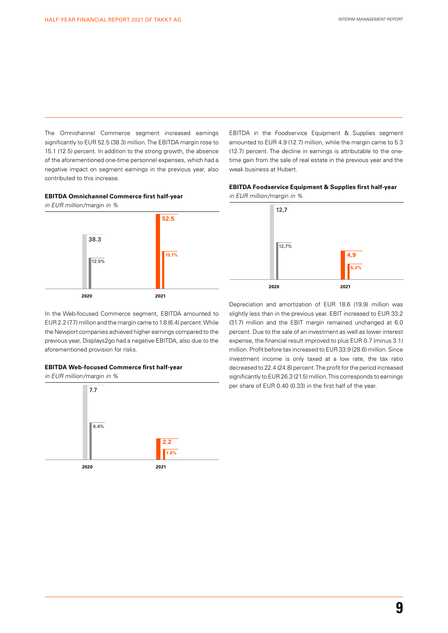The Omnichannel Commerce segment increased earnings significantly to EUR 52.5 (38.3) million. The EBITDA margin rose to 15.1 (12.5) percent. In addition to the strong growth, the absence of the aforementioned one-time personnel expenses, which had a negative impact on segment earnings in the previous year, also contributed to this increase.



*in EUR million/*margin *in %*



In the Web-focused Commerce segment, EBITDA amounted to EUR 2.2 (7.7) million and the margin came to 1.8 (6.4) percent. While the Newport companies achieved higher earnings compared to the previous year, Displays2go had a negative EBITDA, also due to the aforementioned provision for risks.

#### **EBITDA Web-focused Commerce first half-year**

*in EUR million/*margin *in %*



EBITDA in the Foodservice Equipment & Supplies segment amounted to EUR 4.9 (12.7) million, while the margin came to 5.3 (12.7) percent. The decline in earnings is attributable to the onetime gain from the sale of real estate in the previous year and the weak business at Hubert.

#### **EBITDA Foodservice Equipment & Supplies first half-year**

*in EUR million/*margin *in %*



Depreciation and amortization of EUR 18.6 (19.9) million was slightly less than in the previous year. EBIT increased to EUR 33.2 (31.7) million and the EBIT margin remained unchanged at 6.0 percent. Due to the sale of an investment as well as lower interest expense, the financial result improved to plus EUR 0.7 (minus 3.1) million. Profit before tax increased to EUR 33.9 (28.6) million. Since investment income is only taxed at a low rate, the tax ratio decreased to 22.4 (24.8) percent. The profit for the period increased significantly to EUR 26.3 (21.5) million. This corresponds to earnings per share of EUR 0.40 (0.33) in the first half of the year.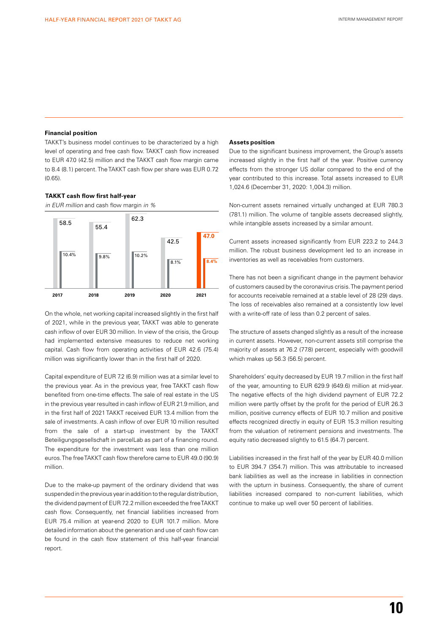#### **Financial position**

TAKKT's business model continues to be characterized by a high level of operating and free cash flow. TAKKT cash flow increased to EUR 47.0 (42.5) million and the TAKKT cash flow margin came to 8.4 (8.1) percent. The TAKKT cash flow per share was EUR 0.72 (0.65).

#### **TAKKT cash flow first half-year**

*in EUR million* and cash flow margin *in %*



On the whole, net working capital increased slightly in the first half of 2021, while in the previous year, TAKKT was able to generate cash inflow of over EUR 30 million. In view of the crisis, the Group had implemented extensive measures to reduce net working capital. Cash flow from operating activities of EUR 42.6 (75.4) million was significantly lower than in the first half of 2020.

Capital expenditure of EUR 7.2 (6.9) million was at a similar level to the previous year. As in the previous year, free TAKKT cash flow benefited from one-time effects. The sale of real estate in the US in the previous year resulted in cash inflow of EUR 21.9 million, and in the first half of 2021 TAKKT received EUR 13.4 million from the sale of investments. A cash inflow of over EUR 10 million resulted from the sale of a start-up investment by the TAKKT Beteiligungsgesellschaft in parcelLab as part of a financing round. The expenditure for the investment was less than one million euros. The free TAKKT cash flow therefore came to EUR 49.0 (90.9) million.

Due to the make-up payment of the ordinary dividend that was suspended in the previous year in addition to the regular distribution, the dividend payment of EUR 72.2 million exceeded the free TAKKT cash flow. Consequently, net financial liabilities increased from EUR 75.4 million at year-end 2020 to EUR 101.7 million. More detailed information about the generation and use of cash flow can be found in the cash flow statement of this half-year financial report.

#### **Assets position**

Due to the significant business improvement, the Group's assets increased slightly in the first half of the year. Positive currency effects from the stronger US dollar compared to the end of the year contributed to this increase. Total assets increased to EUR 1,024.6 (December 31, 2020: 1,004.3) million.

Non-current assets remained virtually unchanged at EUR 780.3 (781.1) million. The volume of tangible assets decreased slightly, while intangible assets increased by a similar amount.

Current assets increased significantly from EUR 223.2 to 244.3 million. The robust business development led to an increase in inventories as well as receivables from customers.

There has not been a significant change in the payment behavior of customers caused by the coronavirus crisis. The payment period for accounts receivable remained at a stable level of 28 (29) days. The loss of receivables also remained at a consistently low level with a write-off rate of less than 0.2 percent of sales.

The structure of assets changed slightly as a result of the increase in current assets. However, non-current assets still comprise the majority of assets at 76.2 (77.8) percent, especially with goodwill which makes up 56.3 (56.5) percent.

Shareholders' equity decreased by EUR 19.7 million in the first half of the year, amounting to EUR 629.9 (649.6) million at mid-year. The negative effects of the high dividend payment of EUR 72.2 million were partly offset by the profit for the period of EUR 26.3 million, positive currency effects of EUR 10.7 million and positive effects recognized directly in equity of EUR 15.3 million resulting from the valuation of retirement pensions and investments. The equity ratio decreased slightly to 61.5 (64.7) percent.

Liabilities increased in the first half of the year by EUR 40.0 million to EUR 394.7 (354.7) million. This was attributable to increased bank liabilities as well as the increase in liabilities in connection with the upturn in business. Consequently, the share of current liabilities increased compared to non-current liabilities, which continue to make up well over 50 percent of liabilities.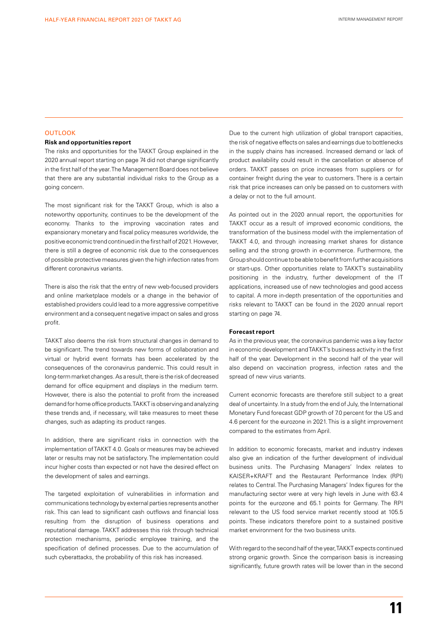#### OUTLOOK

#### **Risk and opportunities report**

The risks and opportunities for the TAKKT Group explained in the 2020 annual report starting on page 74 did not change significantly in the first half of the year. The Management Board does not believe that there are any substantial individual risks to the Group as a going concern.

The most significant risk for the TAKKT Group, which is also a noteworthy opportunity, continues to be the development of the economy. Thanks to the improving vaccination rates and expansionary monetary and fiscal policy measures worldwide, the positive economic trend continued in the first half of 2021. However, there is still a degree of economic risk due to the consequences of possible protective measures given the high infection rates from different coronavirus variants.

There is also the risk that the entry of new web-focused providers and online marketplace models or a change in the behavior of established providers could lead to a more aggressive competitive environment and a consequent negative impact on sales and gross profit.

TAKKT also deems the risk from structural changes in demand to be significant. The trend towards new forms of collaboration and virtual or hybrid event formats has been accelerated by the consequences of the coronavirus pandemic. This could result in long-term market changes. As a result, there is the risk of decreased demand for office equipment and displays in the medium term. However, there is also the potential to profit from the increased demand for home office products. TAKKT is observing and analyzing these trends and, if necessary, will take measures to meet these changes, such as adapting its product ranges.

In addition, there are significant risks in connection with the implementation of TAKKT 4.0. Goals or measures may be achieved later or results may not be satisfactory. The implementation could incur higher costs than expected or not have the desired effect on the development of sales and earnings.

The targeted exploitation of vulnerabilities in information and communications technology by external parties represents another risk. This can lead to significant cash outflows and financial loss resulting from the disruption of business operations and reputational damage. TAKKT addresses this risk through technical protection mechanisms, periodic employee training, and the specification of defined processes. Due to the accumulation of such cyberattacks, the probability of this risk has increased.

Due to the current high utilization of global transport capacities, the risk of negative effects on sales and earnings due to bottlenecks in the supply chains has increased. Increased demand or lack of product availability could result in the cancellation or absence of orders. TAKKT passes on price increases from suppliers or for container freight during the year to customers. There is a certain risk that price increases can only be passed on to customers with a delay or not to the full amount.

As pointed out in the 2020 annual report, the opportunities for TAKKT occur as a result of improved economic conditions, the transformation of the business model with the implementation of TAKKT 4.0, and through increasing market shares for distance selling and the strong growth in e-commerce. Furthermore, the Group should continue to be able to benefit from further acquisitions or start-ups. Other opportunities relate to TAKKT's sustainability positioning in the industry, further development of the IT applications, increased use of new technologies and good access to capital. A more in-depth presentation of the opportunities and risks relevant to TAKKT can be found in the 2020 annual report starting on page 74.

#### **Forecast report**

As in the previous year, the coronavirus pandemic was a key factor in economic development and TAKKT's business activity in the first half of the year. Development in the second half of the year will also depend on vaccination progress, infection rates and the spread of new virus variants.

Current economic forecasts are therefore still subject to a great deal of uncertainty. In a study from the end of July, the International Monetary Fund forecast GDP growth of 7.0 percent for the US and 4.6 percent for the eurozone in 2021. This is a slight improvement compared to the estimates from April.

In addition to economic forecasts, market and industry indexes also give an indication of the further development of individual business units. The Purchasing Managers' Index relates to KAISER+KRAFT and the Restaurant Performance Index (RPI) relates to Central. The Purchasing Managers' Index figures for the manufacturing sector were at very high levels in June with 63.4 points for the eurozone and 65.1 points for Germany. The RPI relevant to the US food service market recently stood at 105.5 points. These indicators therefore point to a sustained positive market environment for the two business units.

With regard to the second half of the year, TAKKT expects continued strong organic growth. Since the comparison basis is increasing significantly, future growth rates will be lower than in the second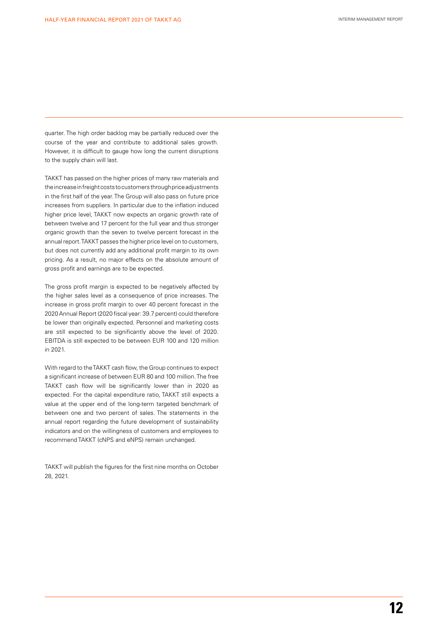quarter. The high order backlog may be partially reduced over the course of the year and contribute to additional sales growth. However, it is difficult to gauge how long the current disruptions to the supply chain will last.

TAKKT has passed on the higher prices of many raw materials and the increase in freight costs to customers through price adjustments in the first half of the year. The Group will also pass on future price increases from suppliers. In particular due to the inflation induced higher price level, TAKKT now expects an organic growth rate of between twelve and 17 percent for the full year and thus stronger organic growth than the seven to twelve percent forecast in the annual report. TAKKT passes the higher price level on to customers, but does not currently add any additional profit margin to its own pricing. As a result, no major effects on the absolute amount of gross profit and earnings are to be expected.

The gross profit margin is expected to be negatively affected by the higher sales level as a consequence of price increases. The increase in gross profit margin to over 40 percent forecast in the 2020 Annual Report (2020 fiscal year: 39.7 percent) could therefore be lower than originally expected. Personnel and marketing costs are still expected to be significantly above the level of 2020. EBITDA is still expected to be between EUR 100 and 120 million in 2021.

With regard to the TAKKT cash flow, the Group continues to expect a significant increase of between EUR 80 and 100 million. The free TAKKT cash flow will be significantly lower than in 2020 as expected. For the capital expenditure ratio, TAKKT still expects a value at the upper end of the long-term targeted benchmark of between one and two percent of sales. The statements in the annual report regarding the future development of sustainability indicators and on the willingness of customers and employees to recommend TAKKT (cNPS and eNPS) remain unchanged.

TAKKT will publish the figures for the first nine months on October 28, 2021.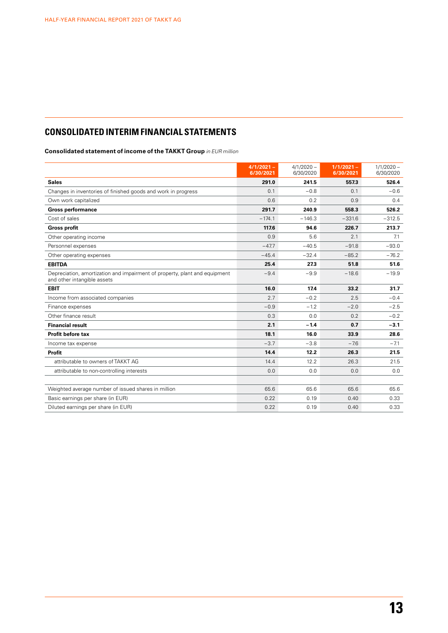# **CONSOLIDATED INTERIM FINANCIAL STATEMENTS**

**Consolidated statement of income of the TAKKT Group** *in EUR million*

|                                                                                                           | $4/1/2021 -$<br>6/30/2021 | $4/1/2020 -$<br>6/30/2020 | $1/1/2021 -$<br>6/30/2021 | $1/1/2020 -$<br>6/30/2020 |
|-----------------------------------------------------------------------------------------------------------|---------------------------|---------------------------|---------------------------|---------------------------|
| <b>Sales</b>                                                                                              | 291.0                     | 241.5                     | 557.3                     | 526.4                     |
| Changes in inventories of finished goods and work in progress                                             | 0.1                       | $-0.8$                    | 0.1                       | $-0.6$                    |
| Own work capitalized                                                                                      | 0.6                       | 0.2                       | 0.9                       | 0.4                       |
| <b>Gross performance</b>                                                                                  | 291.7                     | 240.9                     | 558.3                     | 526.2                     |
| Cost of sales                                                                                             | $-174.1$                  | $-146.3$                  | $-331.6$                  | $-312.5$                  |
| <b>Gross profit</b>                                                                                       | 117.6                     | 94.6                      | 226.7                     | 213.7                     |
| Other operating income                                                                                    | 0.9                       | 5.6                       | 2.1                       | 7.1                       |
| Personnel expenses                                                                                        | $-47.7$                   | $-40.5$                   | $-91.8$                   | $-93.0$                   |
| Other operating expenses                                                                                  | $-45.4$                   | $-32.4$                   | $-85.2$                   | $-76.2$                   |
| <b>EBITDA</b>                                                                                             | 25.4                      | 27.3                      | 51.8                      | 51.6                      |
| Depreciation, amortization and impairment of property, plant and equipment<br>and other intangible assets | $-9.4$                    | $-9.9$                    | $-18.6$                   | $-19.9$                   |
| <b>EBIT</b>                                                                                               | 16.0                      | 17.4                      | 33.2                      | 31.7                      |
| Income from associated companies                                                                          | 2.7                       | $-0.2$                    | 2.5                       | $-0.4$                    |
| Finance expenses                                                                                          | $-0.9$                    | $-1.2$                    | $-2.0$                    | $-2.5$                    |
| Other finance result                                                                                      | 0.3                       | 0.0                       | 0.2                       | $-0.2$                    |
| <b>Financial result</b>                                                                                   | 2.1                       | $-1.4$                    | 0.7                       | $-3.1$                    |
| <b>Profit before tax</b>                                                                                  | 18.1                      | 16.0                      | 33.9                      | 28.6                      |
| Income tax expense                                                                                        | $-3.7$                    | $-3.8$                    | $-7.6$                    | $-7.1$                    |
| <b>Profit</b>                                                                                             | 14.4                      | 12.2                      | 26.3                      | 21.5                      |
| attributable to owners of TAKKT AG                                                                        | 14.4                      | 12.2                      | 26.3                      | 21.5                      |
| attributable to non-controlling interests                                                                 | 0.0                       | 0.0                       | 0.0                       | 0.0                       |
|                                                                                                           |                           |                           |                           |                           |
| Weighted average number of issued shares in million                                                       | 65.6                      | 65.6                      | 65.6                      | 65.6                      |
| Basic earnings per share (in EUR)                                                                         | 0.22                      | 0.19                      | 0.40                      | 0.33                      |
| Diluted earnings per share (in EUR)                                                                       | 0.22                      | 0.19                      | 0.40                      | 0.33                      |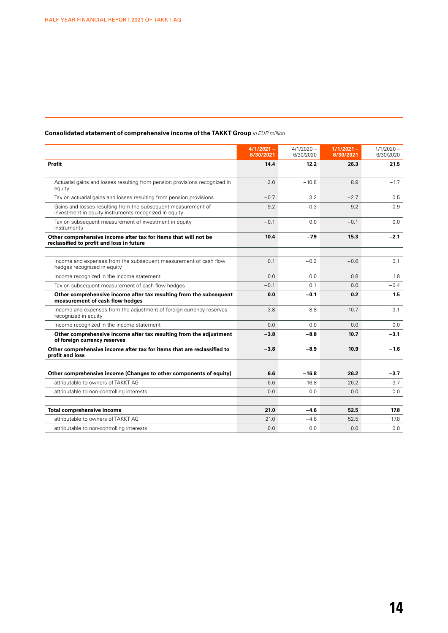|                                                                                                                        | $4/1/2021 -$<br>6/30/2021 | $4/1/2020 -$<br>6/30/2020 | $1/1/2021 -$<br>6/30/2021 | $1/1/2020 -$<br>6/30/2020 |
|------------------------------------------------------------------------------------------------------------------------|---------------------------|---------------------------|---------------------------|---------------------------|
| Profit                                                                                                                 | 14.4                      | 12.2                      | 26.3                      | 21.5                      |
|                                                                                                                        |                           |                           |                           |                           |
| Actuarial gains and losses resulting from pension provisions recognized in<br>equity                                   | 2.0                       | $-10.8$                   | 8.9                       | $-1.7$                    |
| Tax on actuarial gains and losses resulting from pension provisions                                                    | $-0.7$                    | 3.2                       | $-2.7$                    | 0.5                       |
| Gains and losses resulting from the subsequent measurement of<br>investment in equity instruments recognized in equity | 9.2                       | $-0.3$                    | 9.2                       | $-0.9$                    |
| Tax on subsequent measurement of investment in equity<br>instruments                                                   | $-0.1$                    | 0.0                       | $-0.1$                    | 0.0                       |
| Other comprehensive income after tax for items that will not be<br>reclassified to profit and loss in future           | 10.4                      | $-7.9$                    | 15.3                      | $-2.1$                    |
| Income and expenses from the subsequent measurement of cash flow<br>hedges recognized in equity                        | 0.1                       | $-0.2$                    | $-0.6$                    | 0.1                       |
| Income recognized in the income statement                                                                              | 0.0                       | 0.0                       | 0.8                       | 1.8                       |
| Tax on subsequent measurement of cash flow hedges                                                                      | $-0.1$                    | 0.1                       | 0.0                       | $-0.4$                    |
| Other comprehensive income after tax resulting from the subsequent<br>measurement of cash flow hedges                  | 0.0                       | $-0.1$                    | 0.2                       | 1.5                       |
| Income and expenses from the adjustment of foreign currency reserves<br>recognized in equity                           | $-3.8$                    | $-8.8$                    | 10.7                      | $-3.1$                    |
| Income recognized in the income statement                                                                              | 0.0                       | 0.0                       | 0.0                       | 0.0                       |
| Other comprehensive income after tax resulting from the adjustment<br>of foreign currency reserves                     | $-3.8$                    | $-8.8$                    | 10.7                      | $-3.1$                    |
| Other comprehensive income after tax for items that are reclassified to<br>profit and loss                             | $-3.8$                    | $-8.9$                    | 10.9                      | $-1.6$                    |
| Other comprehensive income (Changes to other components of equity)                                                     | 6.6                       | $-16.8$                   | 26.2                      | $-3.7$                    |
| attributable to owners of TAKKT AG                                                                                     | 6.6                       | $-16.8$                   | 26.2                      | $-3.7$                    |
| attributable to non-controlling interests                                                                              | 0.0                       | 0.0                       | 0.0                       | 0.0                       |
| <b>Total comprehensive income</b>                                                                                      | 21.0                      | $-4.6$                    | 52.5                      | 17.8                      |
| attributable to owners of TAKKT AG                                                                                     | 21.0                      | $-4.6$                    | 52.5                      | 17.8                      |
| attributable to non-controlling interests                                                                              | 0.0                       | 0.0                       | 0.0                       | 0.0                       |

# **Consolidated statement of comprehensive income of the TAKKT Group** *in EUR million*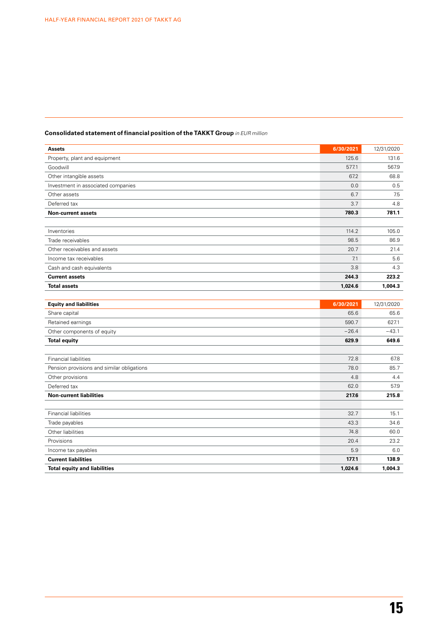| <b>Assets</b>                              | 6/30/2021 | 12/31/2020 |
|--------------------------------------------|-----------|------------|
| Property, plant and equipment              | 125.6     | 131.6      |
| Goodwill                                   | 577.1     | 567.9      |
| Other intangible assets                    | 67.2      | 68.8       |
| Investment in associated companies         | 0.0       | 0.5        |
| Other assets                               | 6.7       | 7.5        |
| Deferred tax                               | 3.7       | 4.8        |
| <b>Non-current assets</b>                  | 780.3     | 781.1      |
|                                            |           |            |
| Inventories                                | 114.2     | 105.0      |
| Trade receivables                          | 98.5      | 86.9       |
| Other receivables and assets               | 20.7      | 21.4       |
| Income tax receivables                     | 7.1       | 5.6        |
| Cash and cash equivalents                  | 3.8       | 4.3        |
| <b>Current assets</b>                      | 244.3     | 223.2      |
| <b>Total assets</b>                        | 1,024.6   | 1,004.3    |
|                                            |           |            |
| <b>Equity and liabilities</b>              | 6/30/2021 | 12/31/2020 |
| Share capital                              | 65.6      | 65.6       |
| Retained earnings                          | 590.7     | 627.1      |
| Other components of equity                 | $-26.4$   | $-43.1$    |
| <b>Total equity</b>                        | 629.9     | 649.6      |
|                                            |           |            |
| <b>Financial liabilities</b>               | 72.8      | 67.8       |
| Pension provisions and similar obligations | 78.0      | 85.7       |
| Other provisions                           | 4.8       | 4.4        |
| Deferred tax                               | 62.0      | 57.9       |
| <b>Non-current liabilities</b>             | 217.6     | 215.8      |
|                                            |           |            |
| <b>Financial liabilities</b>               | 32.7      | 15.1       |
| Trade payables                             | 43.3      | 34.6       |
| Other liabilities                          | 74.8      | 60.0       |
| Provisions                                 | 20.4      | 23.2       |
| Income tax payables                        | 5.9       | 6.0        |
| <b>Current liabilities</b>                 | 177.1     | 138.9      |
| <b>Total equity and liabilities</b>        | 1,024.6   | 1,004.3    |

# **Consolidated statement of financial position of the TAKKT Group** *in EUR million*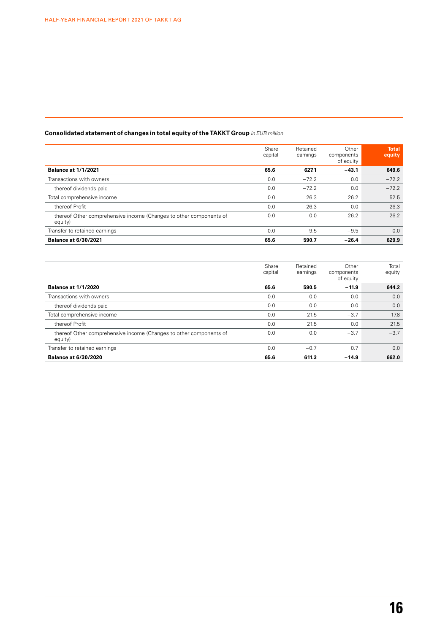# **Consolidated statement of changes in total equity of the TAKKT Group** *in EUR million*

|                                                                               | Share<br>capital | Retained<br>earnings | Other<br>components<br>of equity | <b>Total</b><br>equity |
|-------------------------------------------------------------------------------|------------------|----------------------|----------------------------------|------------------------|
| <b>Balance at 1/1/2021</b>                                                    | 65.6             | 627.1                | $-43.1$                          | 649.6                  |
| Transactions with owners                                                      | 0.0              | $-72.2$              | 0.0                              | $-72.2$                |
| thereof dividends paid                                                        | 0.0              | $-72.2$              | 0.0                              | $-72.2$                |
| Total comprehensive income                                                    | 0.0              | 26.3                 | 26.2                             | 52.5                   |
| thereof Profit                                                                | 0.0              | 26.3                 | 0.0                              | 26.3                   |
| thereof Other comprehensive income (Changes to other components of<br>equity) | 0.0              | 0.0                  | 26.2                             | 26.2                   |
| Transfer to retained earnings                                                 | 0.0              | 9.5                  | $-9.5$                           | 0.0                    |
| <b>Balance at 6/30/2021</b>                                                   | 65.6             | 590.7                | $-26.4$                          | 629.9                  |

|                                                                               | Share<br>capital | Retained<br>earnings | Other<br>components<br>of equity | Total<br>equity |
|-------------------------------------------------------------------------------|------------------|----------------------|----------------------------------|-----------------|
| <b>Balance at 1/1/2020</b>                                                    | 65.6             | 590.5                | $-11.9$                          | 644.2           |
| Transactions with owners                                                      | 0.0              | 0.0                  | 0.0                              | 0.0             |
| thereof dividends paid                                                        | 0.0              | 0.0                  | 0.0                              | 0.0             |
| Total comprehensive income                                                    | 0.0              | 21.5                 | $-3.7$                           | 17.8            |
| thereof Profit                                                                | 0.0              | 21.5                 | 0.0                              | 21.5            |
| thereof Other comprehensive income (Changes to other components of<br>equity) | 0.0              | 0.0                  | $-3.7$                           | $-3.7$          |
| Transfer to retained earnings                                                 | 0.0              | $-0.7$               | 0.7                              | 0.0             |
| <b>Balance at 6/30/2020</b>                                                   | 65.6             | 611.3                | $-14.9$                          | 662.0           |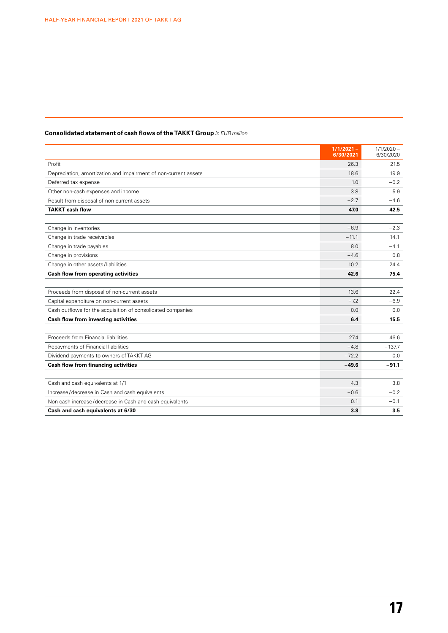# **Consolidated statement of cash flows of the TAKKT Group** *in EUR million*

|                                                                 | $1/1/2021 -$<br>6/30/2021 | $1/1/2020 -$<br>6/30/2020 |
|-----------------------------------------------------------------|---------------------------|---------------------------|
| Profit                                                          | 26.3                      | 21.5                      |
| Depreciation, amortization and impairment of non-current assets | 18.6                      | 19.9                      |
| Deferred tax expense                                            | 1.0                       | $-0.2$                    |
| Other non-cash expenses and income                              | 3.8                       | 5.9                       |
| Result from disposal of non-current assets                      | $-2.7$                    | $-4.6$                    |
| <b>TAKKT cash flow</b>                                          | 47.0                      | 42.5                      |
|                                                                 |                           |                           |
| Change in inventories                                           | $-6.9$                    | $-2.3$                    |
| Change in trade receivables                                     | $-11.1$                   | 14.1                      |
| Change in trade payables                                        | 8.0                       | $-4.1$                    |
| Change in provisions                                            | $-4.6$                    | 0.8                       |
| Change in other assets/liabilities                              | 10.2                      | 24.4                      |
| Cash flow from operating activities                             | 42.6                      | 75.4                      |
|                                                                 |                           |                           |
| Proceeds from disposal of non-current assets                    | 13.6                      | 22.4                      |
| Capital expenditure on non-current assets                       | $-7.2$                    | $-6.9$                    |
| Cash outflows for the acquisition of consolidated companies     | 0.0                       | 0.0                       |
| Cash flow from investing activities                             | 6.4                       | 15.5                      |
|                                                                 |                           |                           |
| Proceeds from Financial liabilities                             | 27.4                      | 46.6                      |
| Repayments of Financial liabilities                             | $-4.8$                    | $-137.7$                  |
| Dividend payments to owners of TAKKT AG                         | $-72.2$                   | 0.0                       |
| <b>Cash flow from financing activities</b>                      | $-49.6$                   | $-91.1$                   |
|                                                                 |                           |                           |
| Cash and cash equivalents at 1/1                                | 4.3                       | 3.8                       |
| Increase/decrease in Cash and cash equivalents                  | $-0.6$                    | $-0.2$                    |
| Non-cash increase/decrease in Cash and cash equivalents         | 0.1                       | $-0.1$                    |
| Cash and cash equivalents at 6/30                               | 3.8                       | 3.5                       |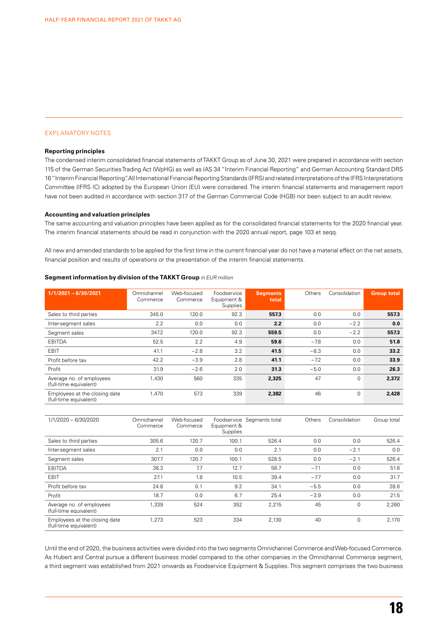#### EXPLANATORY NOTES

#### **Reporting principles**

The condensed interim consolidated financial statements of TAKKT Group as of June 30, 2021 were prepared in accordance with section 115 of the German Securities Trading Act (WpHG) as well as IAS 34 "Interim Financial Reporting" and German Accounting Standard DRS 16 "Interim Financial Reporting". All International Financial Reporting Standards (IFRS) and related interpretations of the IFRS Interpretations Committee (IFRS IC) adopted by the European Union (EU) were considered. The interim financial statements and management report have not been audited in accordance with section 317 of the German Commercial Code (HGB) nor been subject to an audit review.

#### **Accounting and valuation principles**

The same accounting and valuation principles have been applied as for the consolidated financial statements for the 2020 financial year. The interim financial statements should be read in conjunction with the 2020 annual report, page 103 et seqq.

All new and amended standards to be applied for the first time in the current financial year do not have a material effect on the net assets, financial position and results of operations or the presentation of the interim financial statements.

#### **Segment information by division of the TAKKT Group** *in EUR million*

| $1/1/2021 - 6/30/2021$                                  | Omnichannel<br>Commerce | Web-focused<br>Commerce | Foodservice<br>Equipment &<br>Supplies | <b>Segments</b><br>total | Others | Consolidation | <b>Group total</b> |
|---------------------------------------------------------|-------------------------|-------------------------|----------------------------------------|--------------------------|--------|---------------|--------------------|
| Sales to third parties                                  | 345.0                   | 120.0                   | 92.3                                   | 557.3                    | 0.0    | 0.0           | 557.3              |
| Inter-segment sales                                     | 2.2                     | 0.0                     | 0.0                                    | 2.2                      | 0.0    | $-2.2$        | 0.0                |
| Segment sales                                           | 347.2                   | 120.0                   | 92.3                                   | 559.5                    | 0.0    | $-2.2$        | 557.3              |
| EBITDA                                                  | 52.5                    | 2.2                     | 4.9                                    | 59.6                     | $-7.8$ | 0.0           | 51.8               |
| EBIT                                                    | 41.1                    | $-2.8$                  | 3.2                                    | 41.5                     | $-8.3$ | 0.0           | 33.2               |
| Profit before tax                                       | 42.2                    | $-3.9$                  | 2.8                                    | 41.1                     | $-7.2$ | 0.0           | 33.9               |
| Profit                                                  | 31.9                    | $-2.6$                  | 2.0                                    | 31.3                     | $-5.0$ | 0.0           | 26.3               |
| Average no. of employees<br>(full-time equivalent)      | 1,430                   | 560                     | 335                                    | 2,325                    | 47     | 0             | 2,372              |
| Employees at the closing date<br>(full-time equivalent) | 1,470                   | 573                     | 339                                    | 2,382                    | 46     | $\mathbf 0$   | 2,428              |

| 1/1/2020 - 6/30/2020                                    | Omnichannel<br>Commerce | Web-focused<br>Commerce | Equipment &<br>Supplies | Foodservice Segments total | Others | Consolidation | Group total |
|---------------------------------------------------------|-------------------------|-------------------------|-------------------------|----------------------------|--------|---------------|-------------|
| Sales to third parties                                  | 305.6                   | 120.7                   | 100.1                   | 526.4                      | 0.0    | 0.0           | 526.4       |
| Inter-segment sales                                     | 2.1                     | 0.0                     | 0.0                     | 2.1                        | 0.0    | $-2.1$        | 0.0         |
| Segment sales                                           | 307.7                   | 120.7                   | 100.1                   | 528.5                      | 0.0    | $-2.1$        | 526.4       |
| EBITDA                                                  | 38.3                    | 7.7                     | 12.7                    | 58.7                       | $-7.1$ | 0.0           | 51.6        |
| EBIT                                                    | 27.1                    | 1.8                     | 10.5                    | 39.4                       | $-7.7$ | 0.0           | 31.7        |
| Profit before tax                                       | 24.8                    | 0.1                     | 9.2                     | 34.1                       | $-5.5$ | 0.0           | 28.6        |
| Profit                                                  | 18.7                    | 0.0                     | 6.7                     | 25.4                       | $-3.9$ | 0.0           | 21.5        |
| Average no. of employees<br>(full-time equivalent)      | 1.339                   | 524                     | 352                     | 2.215                      | 45     | 0             | 2.260       |
| Employees at the closing date<br>(full-time equivalent) | 1,273                   | 523                     | 334                     | 2,130                      | 40     | 0             | 2,170       |

Until the end of 2020, the business activities were divided into the two segments Omnichannel Commerce and Web-focused Commerce. As Hubert and Central pursue a different business model compared to the other companies in the Omnichannel Commerce segment, a third segment was established from 2021 onwards as Foodservice Equipment & Supplies. This segment comprises the two business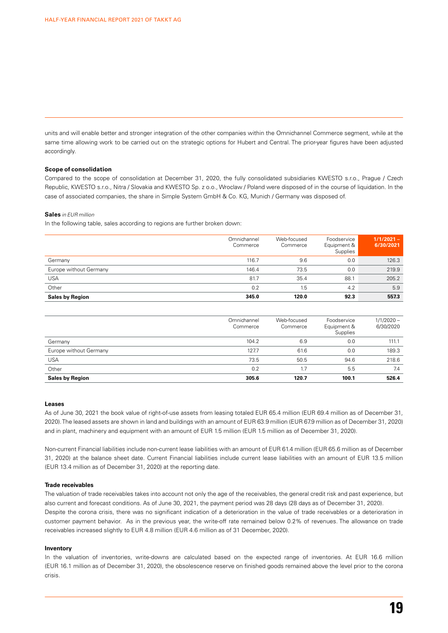units and will enable better and stronger integration of the other companies within the Omnichannel Commerce segment, while at the same time allowing work to be carried out on the strategic options for Hubert and Central. The prior-year figures have been adjusted accordingly.

#### **Scope of consolidation**

Compared to the scope of consolidation at December 31, 2020, the fully consolidated subsidiaries KWESTO s.r.o., Prague / Czech Republic, KWESTO s.r.o., Nitra / Slovakia and KWESTO Sp. z o.o., Wroclaw / Poland were disposed of in the course of liquidation. In the case of associated companies, the share in Simple System GmbH & Co. KG, Munich / Germany was disposed of.

#### **Sales** *in EUR million*

In the following table, sales according to regions are further broken down:

|                        | Omnichannel<br>Commerce | Web-focused<br>Commerce | Foodservice<br>Equipment &<br>Supplies | $1/1/2021 -$<br>6/30/2021 |
|------------------------|-------------------------|-------------------------|----------------------------------------|---------------------------|
| Germany                | 116.7                   | 9.6                     | 0.0                                    | 126.3                     |
| Europe without Germany | 146.4                   | 73.5                    | 0.0                                    | 219.9                     |
| <b>USA</b>             | 81.7                    | 35.4                    | 88.1                                   | 205.2                     |
| Other                  | 0.2                     | 1.5                     | 4.2                                    | 5.9                       |
| <b>Sales by Region</b> | 345.0                   | 120.0                   | 92.3                                   | 557.3                     |

|                        | Omnichannel<br>Commerce | Web-focused<br>Commerce | Foodservice<br>Equipment &<br>Supplies | $1/1/2020 -$<br>6/30/2020 |
|------------------------|-------------------------|-------------------------|----------------------------------------|---------------------------|
| Germany                | 104.2                   | 6.9                     | 0.0                                    | 111.1                     |
| Europe without Germany | 127.7                   | 61.6                    | 0.0                                    | 189.3                     |
| <b>USA</b>             | 73.5                    | 50.5                    | 94.6                                   | 218.6                     |
| Other                  | 0.2                     | 1.7                     | 5.5                                    | 7.4                       |
| <b>Sales by Region</b> | 305.6                   | 120.7                   | 100.1                                  | 526.4                     |

#### **Leases**

As of June 30, 2021 the book value of right-of-use assets from leasing totaled EUR 65.4 million (EUR 69.4 million as of December 31, 2020). The leased assets are shown in land and buildings with an amount of EUR 63.9 million (EUR 67.9 million as of December 31, 2020) and in plant, machinery and equipment with an amount of EUR 1.5 million (EUR 1.5 million as of December 31, 2020).

Non-current Financial liabilities include non-current lease liabilities with an amount of EUR 61.4 million (EUR 65.6 million as of December 31, 2020) at the balance sheet date. Current Financial liabilities include current lease liabilities with an amount of EUR 13.5 million (EUR 13.4 million as of December 31, 2020) at the reporting date.

#### **Trade receivables**

The valuation of trade receivables takes into account not only the age of the receivables, the general credit risk and past experience, but also current and forecast conditions. As of June 30, 2021, the payment period was 28 days (28 days as of December 31, 2020). Despite the corona crisis, there was no significant indication of a deterioration in the value of trade receivables or a deterioration in customer payment behavior. As in the previous year, the write-off rate remained below 0.2% of revenues. The allowance on trade receivables increased slightly to EUR 4.8 million (EUR 4.6 million as of 31 December, 2020).

#### **Inventory**

In the valuation of inventories, write-downs are calculated based on the expected range of inventories. At EUR 16.6 million (EUR 16.1 million as of December 31, 2020), the obsolescence reserve on finished goods remained above the level prior to the corona crisis.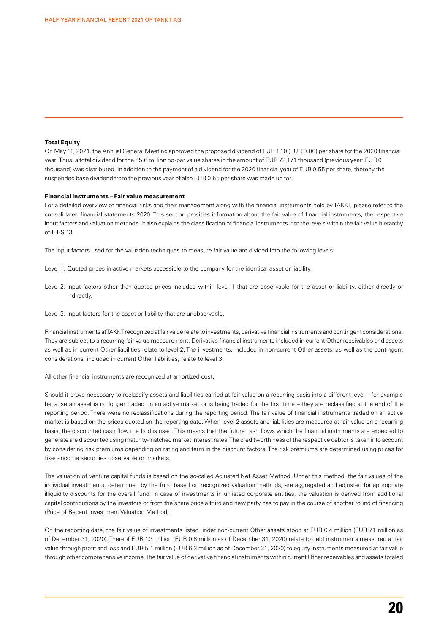#### **Total Equity**

On May 11, 2021, the Annual General Meeting approved the proposed dividend of EUR 1.10 (EUR 0.00) per share for the 2020 financial year. Thus, a total dividend for the 65.6 million no-par value shares in the amount of EUR 72,171 thousand (previous year: EUR 0 thousand) was distributed. In addition to the payment of a dividend for the 2020 financial year of EUR 0.55 per share, thereby the suspended base dividend from the previous year of also EUR 0.55 per share was made up for.

#### **Financial instruments – Fair value measurement**

For a detailed overview of financial risks and their management along with the financial instruments held by TAKKT, please refer to the consolidated financial statements 2020. This section provides information about the fair value of financial instruments, the respective input factors and valuation methods. It also explains the classification of financial instruments into the levels within the fair value hierarchy of IFRS 13.

The input factors used for the valuation techniques to measure fair value are divided into the following levels:

- Level 1: Quoted prices in active markets accessible to the company for the identical asset or liability.
- Level 2: Input factors other than quoted prices included within level 1 that are observable for the asset or liability, either directly or indirectly.
- Level 3: Input factors for the asset or liability that are unobservable.

Financial instruments at TAKKT recognized at fair value relate to investments, derivative financial instruments and contingent considerations. They are subject to a recurring fair value measurement. Derivative financial instruments included in current Other receivables and assets as well as in current Other liabilities relate to level 2. The investments, included in non-current Other assets, as well as the contingent considerations, included in current Other liabilities, relate to level 3.

All other financial instruments are recognized at amortized cost.

Should it prove necessary to reclassify assets and liabilities carried at fair value on a recurring basis into a different level – for example because an asset is no longer traded on an active market or is being traded for the first time – they are reclassified at the end of the reporting period. There were no reclassifications during the reporting period. The fair value of financial instruments traded on an active market is based on the prices quoted on the reporting date. When level 2 assets and liabilities are measured at fair value on a recurring basis, the discounted cash flow method is used. This means that the future cash flows which the financial instruments are expected to generate are discounted using maturity-matched market interest rates. The creditworthiness of the respective debtor is taken into account by considering risk premiums depending on rating and term in the discount factors. The risk premiums are determined using prices for fixed-income securities observable on markets.

The valuation of venture capital funds is based on the so-called Adjusted Net Asset Method. Under this method, the fair values of the individual investments, determined by the fund based on recognized valuation methods, are aggregated and adjusted for appropriate illiquidity discounts for the overall fund. In case of investments in unlisted corporate entities, the valuation is derived from additional capital contributions by the investors or from the share price a third and new party has to pay in the course of another round of financing (Price of Recent Investment Valuation Method).

On the reporting date, the fair value of investments listed under non-current Other assets stood at EUR 6.4 million (EUR 7.1 million as of December 31, 2020). Thereof EUR 1.3 million (EUR 0.8 million as of December 31, 2020) relate to debt instruments measured at fair value through profit and loss and EUR 5.1 million (EUR 6.3 million as of December 31, 2020) to equity instruments measured at fair value through other comprehensive income. The fair value of derivative financial instruments within current Other receivables and assets totaled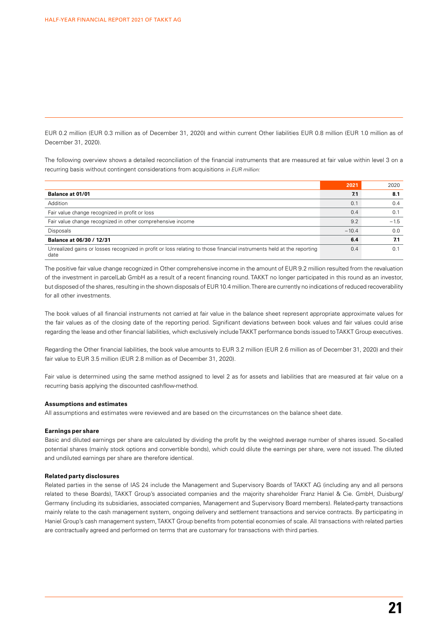EUR 0.2 million (EUR 0.3 million as of December 31, 2020) and within current Other liabilities EUR 0.8 million (EUR 1.0 million as of December 31, 2020).

The following overview shows a detailed reconciliation of the financial instruments that are measured at fair value within level 3 on a recurring basis without contingent considerations from acquisitions *in EUR million:*

|                                                                                                                               | 2021    | 2020   |
|-------------------------------------------------------------------------------------------------------------------------------|---------|--------|
| Balance at 01/01                                                                                                              | 7.1     | 8.1    |
| Addition                                                                                                                      | 0.1     | 0.4    |
| Fair value change recognized in profit or loss                                                                                | 0.4     | 0.1    |
| Fair value change recognized in other comprehensive income                                                                    | 9.2     | $-1.5$ |
| <b>Disposals</b>                                                                                                              | $-10.4$ | 0.0    |
| Balance at 06/30 / 12/31                                                                                                      |         | 7.1    |
| Unrealized gains or losses recognized in profit or loss relating to those financial instruments held at the reporting<br>date | 0.4     |        |

The positive fair value change recognized in Other comprehensive income in the amount of EUR 9.2 million resulted from the revaluation of the investment in parcelLab GmbH as a result of a recent financing round. TAKKT no longer participated in this round as an investor, but disposed of the shares, resulting in the shown disposals of EUR 10.4 million. There are currently no indications of reduced recoverability for all other investments.

The book values of all financial instruments not carried at fair value in the balance sheet represent appropriate approximate values for the fair values as of the closing date of the reporting period. Significant deviations between book values and fair values could arise regarding the lease and other financial liabilities, which exclusively include TAKKT performance bonds issued to TAKKT Group executives.

Regarding the Other financial liabilities, the book value amounts to EUR 3.2 million (EUR 2.6 million as of December 31, 2020) and their fair value to EUR 3.5 million (EUR 2.8 million as of December 31, 2020).

Fair value is determined using the same method assigned to level 2 as for assets and liabilities that are measured at fair value on a recurring basis applying the discounted cashflow-method.

#### **Assumptions and estimates**

All assumptions and estimates were reviewed and are based on the circumstances on the balance sheet date.

#### **Earnings per share**

Basic and diluted earnings per share are calculated by dividing the profit by the weighted average number of shares issued. So-called potential shares (mainly stock options and convertible bonds), which could dilute the earnings per share, were not issued. The diluted and undiluted earnings per share are therefore identical.

#### **Related party disclosures**

Related parties in the sense of IAS 24 include the Management and Supervisory Boards of TAKKT AG (including any and all persons related to these Boards), TAKKT Group's associated companies and the majority shareholder Franz Haniel & Cie. GmbH, Duisburg/ Germany (including its subsidiaries, associated companies, Management and Supervisory Board members). Related-party transactions mainly relate to the cash management system, ongoing delivery and settlement transactions and service contracts. By participating in Haniel Group's cash management system, TAKKT Group benefits from potential economies of scale. All transactions with related parties are contractually agreed and performed on terms that are customary for transactions with third parties.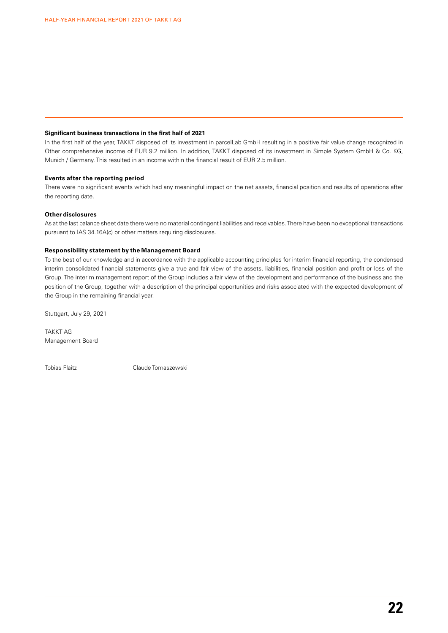#### **Significant business transactions in the first half of 2021**

In the first half of the year, TAKKT disposed of its investment in parcelLab GmbH resulting in a positive fair value change recognized in Other comprehensive income of EUR 9.2 million. In addition, TAKKT disposed of its investment in Simple System GmbH & Co. KG, Munich / Germany. This resulted in an income within the financial result of EUR 2.5 million.

#### **Events after the reporting period**

There were no significant events which had any meaningful impact on the net assets, financial position and results of operations after the reporting date.

#### **Other disclosures**

As at the last balance sheet date there were no material contingent liabilities and receivables. There have been no exceptional transactions pursuant to IAS 34.16A(c) or other matters requiring disclosures.

#### **Responsibility statement by the Management Board**

To the best of our knowledge and in accordance with the applicable accounting principles for interim financial reporting, the condensed interim consolidated financial statements give a true and fair view of the assets, liabilities, financial position and profit or loss of the Group. The interim management report of the Group includes a fair view of the development and performance of the business and the position of the Group, together with a description of the principal opportunities and risks associated with the expected development of the Group in the remaining financial year.

Stuttgart, July 29, 2021

TAKKT AG Management Board

Tobias Flaitz Claude Tomaszewski